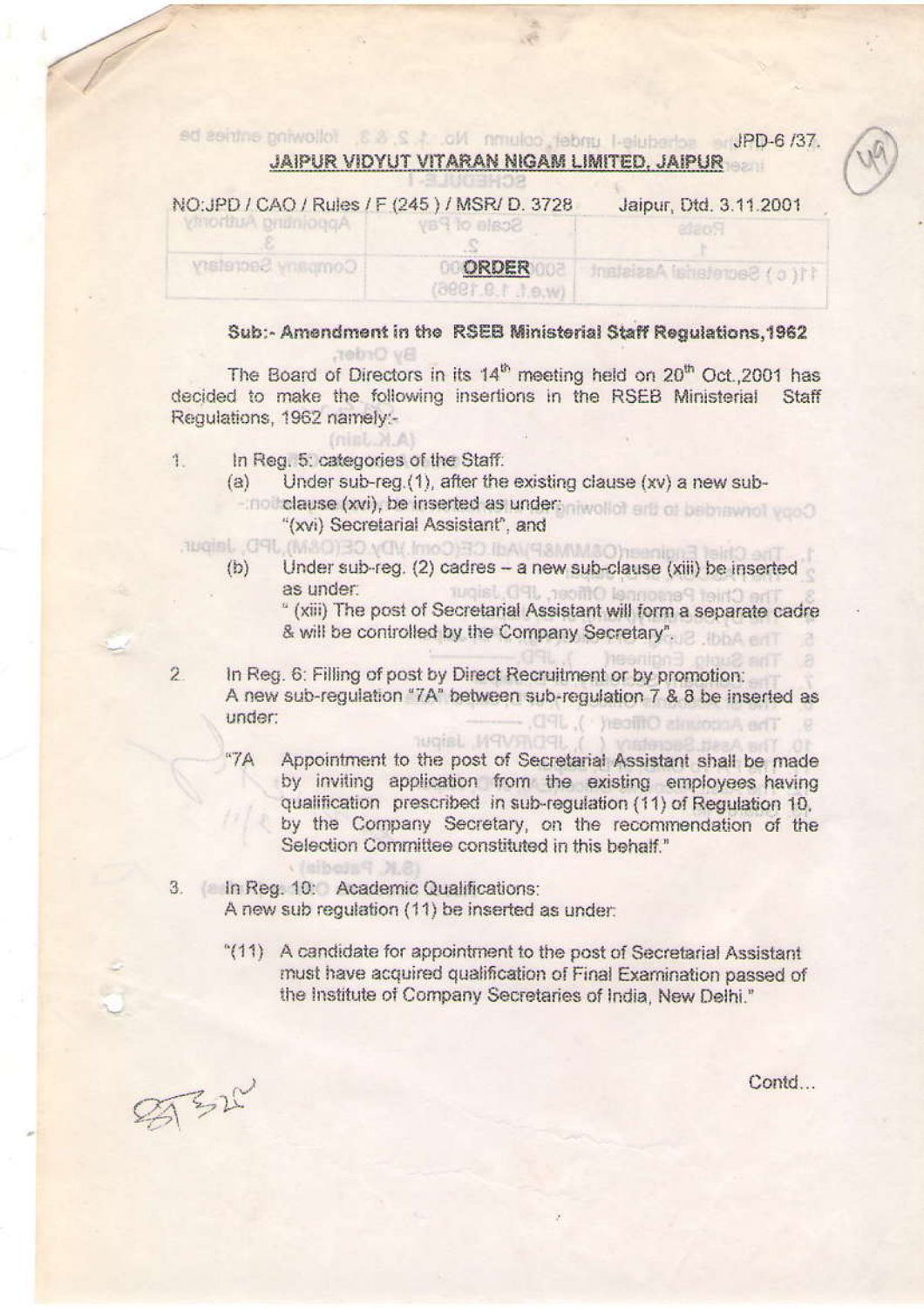sd seithe gniwollot 8 8 S 4 .cl/ nmulco febra l-elubertos ar JPD-6 /37. JAIPUR VIDYUT VITARAN NIGAM LIMITED, JAIPUR

|                              | NO.JPD / CAU / RUBS / F (240 ) / MORT D. 3/26 | Japur, Ux3.3.11.2001      |
|------------------------------|-----------------------------------------------|---------------------------|
| <b>MOLDUMA CHILDING CITY</b> | <b>Van to elector</b>                         |                           |
| Communed Pecketaky           | ORDER<br>(9881.8.1 1.9.w)                     | Instalate Islam Assistant |

### Sub:- Amendment in the RSEB Ministerial Staff Requlations.1962

The Board of Directors in its 14<sup>th</sup> meeting held on 20<sup>th</sup> Oct., 2001 has decided to make the following insertions in the RSEB Ministerial Staff Regulations, 1962 namely:-

In Reg. 5: categories of the Staff: 1.

By Order:

 $\text{finite}$   $M.A$ 

- Under sub-reg.(1), after the existing clause (xv) a new sub- $(a)$ 
	- not clause (xvi), be inserted as undertiniwoller and or belongwrot vood "(xvi) Secretarial Assistant", and
- augist, CRL (M&O) 30 yOV, ImeO) 30 JPD, January
	- Under sub-reg. (2) cadres a new sub-clause (xiii) be inserted  $(b)$ as under: GSL 199mQ isonomsS tout **TUCHS**

" (xiii) The post of Secretarial Assistant will form a separate cadre & will be controlled by the Company Secretary".

 $\overline{2}$ In Reg. 6: Filling of post by Direct Recruitment or by promotion: A new sub-regulation "7A" between sub-regulation 7 & 8 be inserted as under: health almosant nell

**BROGEL MAYSING** 

- $47A$ Appointment to the post of Secretarial Assistant shall be made by inviting application from the existing employees having qualification prescribed in sub-regulation (11) of Regulation 10. by the Company Secretary, on the recommendation of the Selection Committee constituted in this behalf."
- 3. In Reg. 10: Academic Qualifications: A new sub regulation (11) be inserted as under:
	- "(11) A candidate for appointment to the post of Secretarial Assistant must have acquired qualification of Final Examination passed of the Institute of Company Secretaries of India, New Delhi."

百马山

Contd...